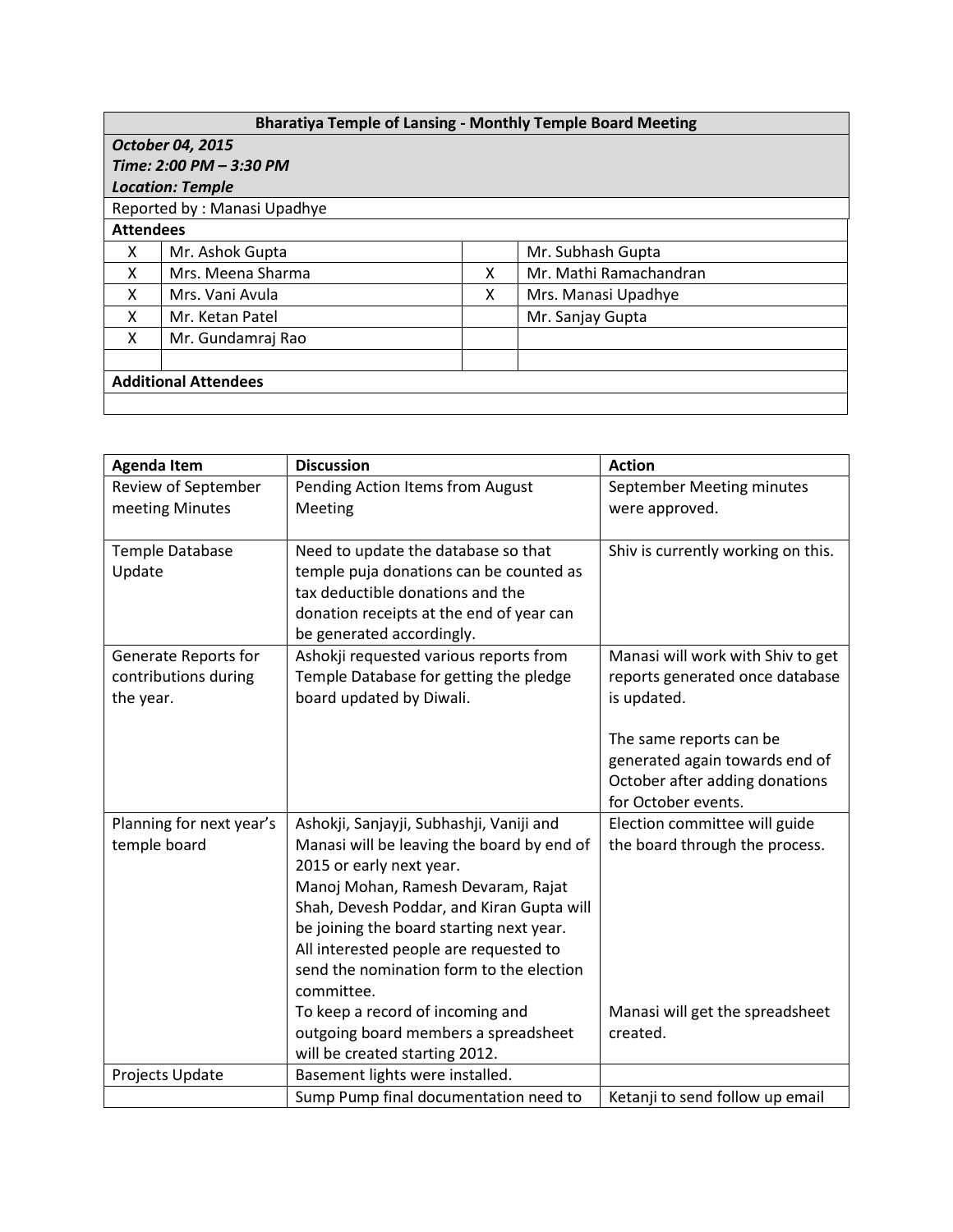| <b>Bharatiya Temple of Lansing - Monthly Temple Board Meeting</b> |                   |   |                        |  |  |  |  |
|-------------------------------------------------------------------|-------------------|---|------------------------|--|--|--|--|
| <b>October 04, 2015</b>                                           |                   |   |                        |  |  |  |  |
| Time: 2:00 PM - 3:30 PM                                           |                   |   |                        |  |  |  |  |
| <b>Location: Temple</b>                                           |                   |   |                        |  |  |  |  |
| Reported by: Manasi Upadhye                                       |                   |   |                        |  |  |  |  |
| <b>Attendees</b>                                                  |                   |   |                        |  |  |  |  |
| x                                                                 | Mr. Ashok Gupta   |   | Mr. Subhash Gupta      |  |  |  |  |
| x                                                                 | Mrs. Meena Sharma | x | Mr. Mathi Ramachandran |  |  |  |  |
| X                                                                 | Mrs. Vani Avula   | x | Mrs. Manasi Upadhye    |  |  |  |  |
| X                                                                 | Mr. Ketan Patel   |   | Mr. Sanjay Gupta       |  |  |  |  |
| X                                                                 | Mr. Gundamraj Rao |   |                        |  |  |  |  |
|                                                                   |                   |   |                        |  |  |  |  |
| <b>Additional Attendees</b>                                       |                   |   |                        |  |  |  |  |
|                                                                   |                   |   |                        |  |  |  |  |

| <b>Agenda Item</b>                           | <b>Discussion</b>                                                                | <b>Action</b>                                                        |
|----------------------------------------------|----------------------------------------------------------------------------------|----------------------------------------------------------------------|
| Review of September                          | Pending Action Items from August                                                 | September Meeting minutes                                            |
| meeting Minutes                              | Meeting                                                                          | were approved.                                                       |
|                                              |                                                                                  |                                                                      |
| Temple Database                              | Need to update the database so that                                              | Shiv is currently working on this.                                   |
| Update                                       | temple puja donations can be counted as                                          |                                                                      |
|                                              | tax deductible donations and the                                                 |                                                                      |
|                                              | donation receipts at the end of year can                                         |                                                                      |
|                                              | be generated accordingly.                                                        |                                                                      |
| Generate Reports for<br>contributions during | Ashokji requested various reports from<br>Temple Database for getting the pledge | Manasi will work with Shiv to get<br>reports generated once database |
| the year.                                    | board updated by Diwali.                                                         | is updated.                                                          |
|                                              |                                                                                  |                                                                      |
|                                              |                                                                                  | The same reports can be                                              |
|                                              |                                                                                  | generated again towards end of                                       |
|                                              |                                                                                  | October after adding donations                                       |
|                                              |                                                                                  | for October events.                                                  |
| Planning for next year's                     | Ashokji, Sanjayji, Subhashji, Vaniji and                                         | Election committee will guide                                        |
| temple board                                 | Manasi will be leaving the board by end of                                       | the board through the process.                                       |
|                                              | 2015 or early next year.                                                         |                                                                      |
|                                              | Manoj Mohan, Ramesh Devaram, Rajat                                               |                                                                      |
|                                              | Shah, Devesh Poddar, and Kiran Gupta will                                        |                                                                      |
|                                              | be joining the board starting next year.                                         |                                                                      |
|                                              | All interested people are requested to                                           |                                                                      |
|                                              | send the nomination form to the election                                         |                                                                      |
|                                              | committee.                                                                       |                                                                      |
|                                              | To keep a record of incoming and                                                 | Manasi will get the spreadsheet                                      |
|                                              | outgoing board members a spreadsheet                                             | created.                                                             |
|                                              | will be created starting 2012.                                                   |                                                                      |
| Projects Update                              | Basement lights were installed.<br>Sump Pump final documentation need to         | Ketanji to send follow up email                                      |
|                                              |                                                                                  |                                                                      |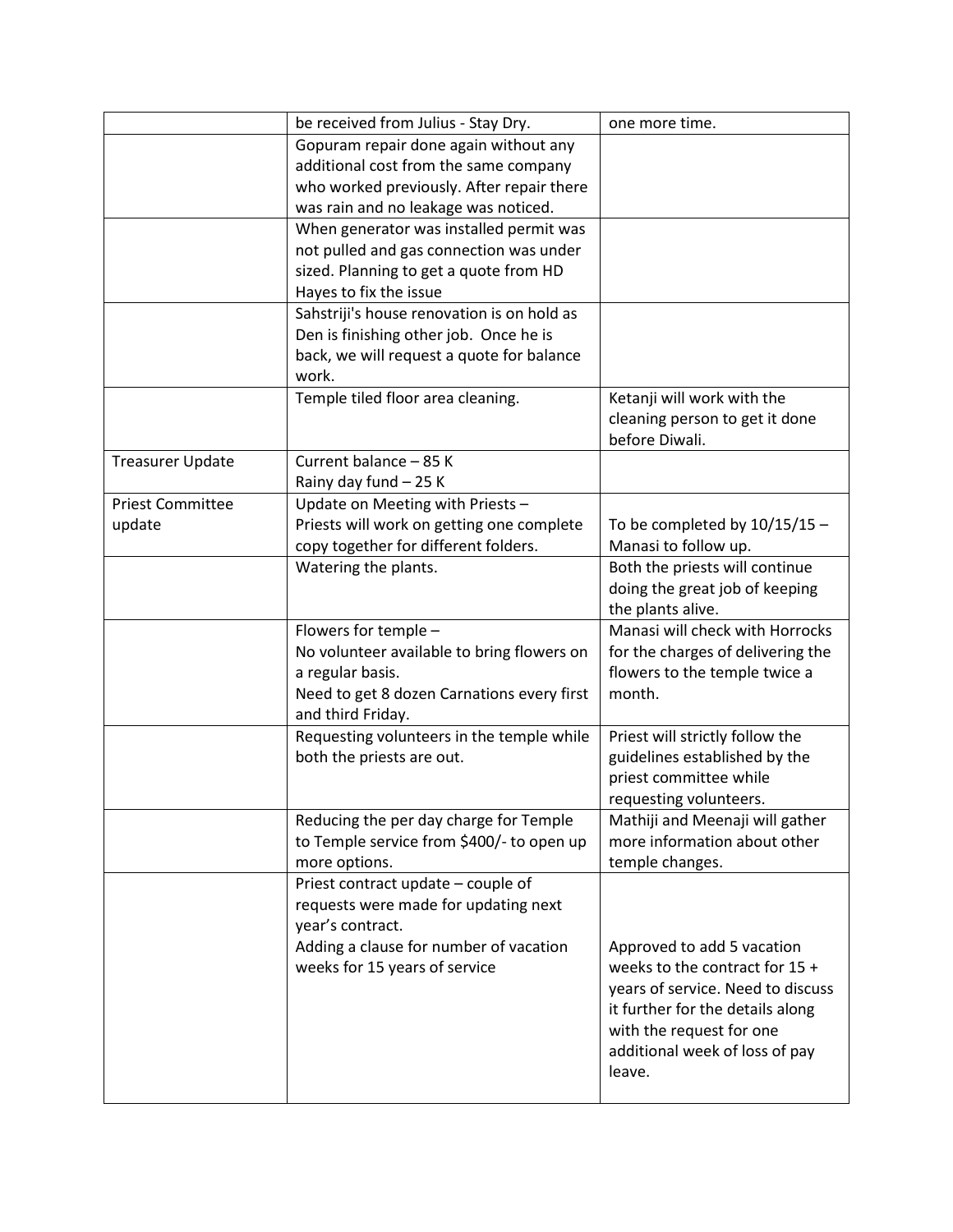|                         | be received from Julius - Stay Dry.        | one more time.                    |
|-------------------------|--------------------------------------------|-----------------------------------|
|                         | Gopuram repair done again without any      |                                   |
|                         | additional cost from the same company      |                                   |
|                         | who worked previously. After repair there  |                                   |
|                         | was rain and no leakage was noticed.       |                                   |
|                         | When generator was installed permit was    |                                   |
|                         | not pulled and gas connection was under    |                                   |
|                         | sized. Planning to get a quote from HD     |                                   |
|                         | Hayes to fix the issue                     |                                   |
|                         | Sahstriji's house renovation is on hold as |                                   |
|                         | Den is finishing other job. Once he is     |                                   |
|                         | back, we will request a quote for balance  |                                   |
|                         | work.                                      |                                   |
|                         | Temple tiled floor area cleaning.          | Ketanji will work with the        |
|                         |                                            | cleaning person to get it done    |
|                         |                                            | before Diwali.                    |
| <b>Treasurer Update</b> | Current balance - 85 K                     |                                   |
|                         | Rainy day fund - 25 K                      |                                   |
| <b>Priest Committee</b> | Update on Meeting with Priests -           |                                   |
| update                  | Priests will work on getting one complete  | To be completed by $10/15/15$ -   |
|                         | copy together for different folders.       | Manasi to follow up.              |
|                         | Watering the plants.                       | Both the priests will continue    |
|                         |                                            | doing the great job of keeping    |
|                         |                                            | the plants alive.                 |
|                         | Flowers for temple -                       | Manasi will check with Horrocks   |
|                         | No volunteer available to bring flowers on | for the charges of delivering the |
|                         | a regular basis.                           | flowers to the temple twice a     |
|                         | Need to get 8 dozen Carnations every first | month.                            |
|                         | and third Friday.                          |                                   |
|                         | Requesting volunteers in the temple while  | Priest will strictly follow the   |
|                         | both the priests are out.                  | guidelines established by the     |
|                         |                                            | priest committee while            |
|                         |                                            | requesting volunteers.            |
|                         | Reducing the per day charge for Temple     | Mathiji and Meenaji will gather   |
|                         | to Temple service from \$400/- to open up  | more information about other      |
|                         | more options.                              | temple changes.                   |
|                         | Priest contract update - couple of         |                                   |
|                         | requests were made for updating next       |                                   |
|                         | year's contract.                           |                                   |
|                         | Adding a clause for number of vacation     | Approved to add 5 vacation        |
|                         | weeks for 15 years of service              | weeks to the contract for 15 +    |
|                         |                                            | years of service. Need to discuss |
|                         |                                            | it further for the details along  |
|                         |                                            | with the request for one          |
|                         |                                            | additional week of loss of pay    |
|                         |                                            | leave.                            |